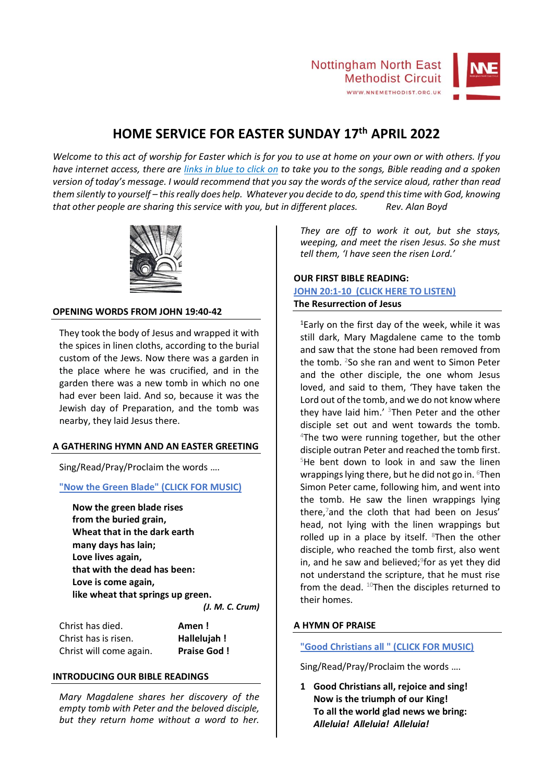

## **HOME SERVICE FOR EASTER SUNDAY 17th APRIL 2022**

*Welcome to this act of worship for Easter which is for you to use at home on your own or with others. If you have internet access, there are links in blue to click on to take you to the songs, Bible reading and a spoken version of today's message. I would recommend that you say the words of the service aloud, rather than read them silently to yourself – this really does help. Whatever you decide to do, spend this time with God, knowing that other people are sharing this service with you, but in different places. Rev. Alan Boyd*



#### **OPENING WORDS FROM JOHN 19:40-42**

They took the body of Jesus and wrapped it with the spices in linen cloths, according to the burial custom of the Jews. Now there was a garden in the place where he was crucified, and in the garden there was a new tomb in which no one had ever been laid. And so, because it was the Jewish day of Preparation, and the tomb was nearby, they laid Jesus there.

#### **A GATHERING HYMN AND AN EASTER GREETING**

Sing/Read/Pray/Proclaim the words ….

#### **["Now the Green Blade" \(CLICK FOR MUSIC\)](https://1drv.ms/u/s!ArhPmcrQo1wyhS0EXNWU73mGIE8E?e=uJ9Cyo)**

**Now the green blade rises from the buried grain, Wheat that in the dark earth many days has lain; Love lives again, that with the dead has been: Love is come again, like wheat that springs up green.** *(J. M. C. Crum)*

| Christ has died.        | Amen!              |
|-------------------------|--------------------|
| Christ has is risen.    | Hallelujah!        |
| Christ will come again. | <b>Praise God!</b> |

#### **INTRODUCING OUR BIBLE READINGS**

*Mary Magdalene shares her discovery of the empty tomb with Peter and the beloved disciple, but they return home without a word to her.*  *They are off to work it out, but she stays, weeping, and meet the risen Jesus. So she must tell them, 'I have seen the risen Lord.'*

#### **OUR FIRST BIBLE READING: [JOHN 20:1-10 \(CLICK HERE TO LISTEN\)](https://1drv.ms/u/s!ArhPmcrQo1wyhSrwaaSsovGwBwwW?e=1dr9CK) The Resurrection of Jesus**

<sup>1</sup>Early on the first day of the week, while it was still dark, Mary Magdalene came to the tomb and saw that the stone had been removed from the tomb. <sup>2</sup>So she ran and went to Simon Peter and the other disciple, the one whom Jesus loved, and said to them, 'They have taken the Lord out of the tomb, and we do not know where they have laid him.'  $3$ Then Peter and the other disciple set out and went towards the tomb. <sup>4</sup>The two were running together, but the other disciple outran Peter and reached the tomb first.  $5$ He bent down to look in and saw the linen wrappings lying there, but he did not go in. <sup>6</sup>Then Simon Peter came, following him, and went into the tomb. He saw the linen wrappings lying there,<sup>7</sup>and the cloth that had been on Jesus' head, not lying with the linen wrappings but rolled up in a place by itself.  $8$ Then the other disciple, who reached the tomb first, also went in, and he saw and believed;<sup>9</sup>for as yet they did not understand the scripture, that he must rise from the dead.  $^{10}$ Then the disciples returned to their homes.

#### **A HYMN OF PRAISE**

#### **["Good Christians all " \(CLICK FOR MUSIC\)](https://1drv.ms/v/s!ArhPmcrQo1wyhSv5pnBYEvHypSN2?e=M3CLnc)**

Sing/Read/Pray/Proclaim the words ….

**1 Good Christians all, rejoice and sing! Now is the triumph of our King! To all the world glad news we bring:** *Alleluia! Alleluia! Alleluia!*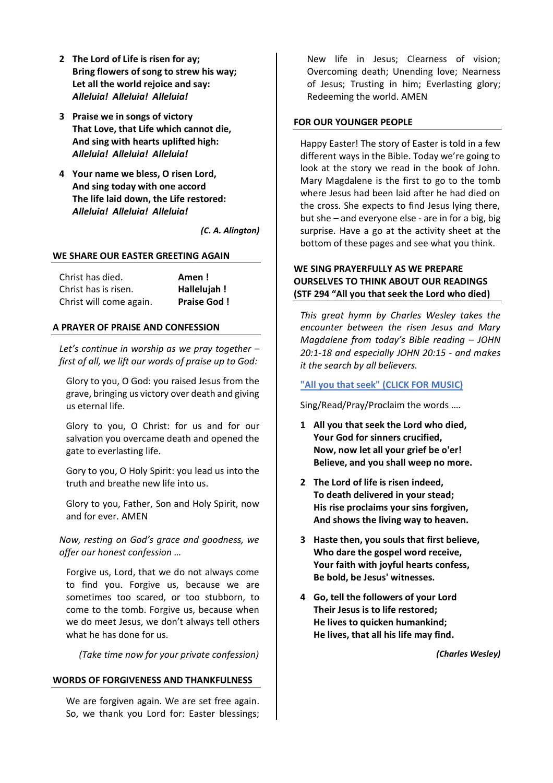- **2 The Lord of Life is risen for ay; Bring flowers of song to strew his way; Let all the world rejoice and say:** *Alleluia! Alleluia! Alleluia!*
- **3 Praise we in songs of victory That Love, that Life which cannot die, And sing with hearts uplifted high:** *Alleluia! Alleluia! Alleluia!*
- **4 Your name we bless, O risen Lord, And sing today with one accord The life laid down, the Life restored:** *Alleluia! Alleluia! Alleluia!*

*(C. A. Alington)*

#### **WE SHARE OUR EASTER GREETING AGAIN**

| Christ has died.        | Amen!              |
|-------------------------|--------------------|
| Christ has is risen.    | Hallelujah!        |
| Christ will come again. | <b>Praise God!</b> |

#### **A PRAYER OF PRAISE AND CONFESSION**

*Let's continue in worship as we pray together – first of all, we lift our words of praise up to God:*

Glory to you, O God: you raised Jesus from the grave, bringing us victory over death and giving us eternal life.

Glory to you, O Christ: for us and for our salvation you overcame death and opened the gate to everlasting life.

Gory to you, O Holy Spirit: you lead us into the truth and breathe new life into us.

Glory to you, Father, Son and Holy Spirit, now and for ever. AMEN

*Now, resting on God's grace and goodness, we offer our honest confession …*

Forgive us, Lord, that we do not always come to find you. Forgive us, because we are sometimes too scared, or too stubborn, to come to the tomb. Forgive us, because when we do meet Jesus, we don't always tell others what he has done for us.

*(Take time now for your private confession)*

#### **WORDS OF FORGIVENESS AND THANKFULNESS**

We are forgiven again. We are set free again. So, we thank you Lord for: Easter blessings; New life in Jesus; Clearness of vision; Overcoming death; Unending love; Nearness of Jesus; Trusting in him; Everlasting glory; Redeeming the world. AMEN

#### **FOR OUR YOUNGER PEOPLE**

Happy Easter! The story of Easter is told in a few different ways in the Bible. Today we're going to look at the story we read in the book of John. Mary Magdalene is the first to go to the tomb where Jesus had been laid after he had died on the cross. She expects to find Jesus lying there, but she – and everyone else - are in for a big, big surprise. Have a go at the activity sheet at the bottom of these pages and see what you think.

#### **WE SING PRAYERFULLY AS WE PREPARE OURSELVES TO THINK ABOUT OUR READINGS (STF 294 "All you that seek the Lord who died)**

*This great hymn by Charles Wesley takes the encounter between the risen Jesus and Mary Magdalene from today's Bible reading – JOHN 20:1-18 and especially JOHN 20:15 - and makes it the search by all believers.*

#### **["All you that seek" \(CLICK FOR MUSIC\)](https://1drv.ms/u/s!ArhPmcrQo1wyhS-fY4pjtyVE5rdS?e=ENMKdc)**

Sing/Read/Pray/Proclaim the words ….

- **1 All you that seek the Lord who died, Your God for sinners crucified, Now, now let all your grief be o'er! Believe, and you shall weep no more.**
- **2 The Lord of life is risen indeed, To death delivered in your stead; His rise proclaims your sins forgiven, And shows the living way to heaven.**
- **3 Haste then, you souls that first believe, Who dare the gospel word receive, Your faith with joyful hearts confess, Be bold, be Jesus' witnesses.**
- **4 Go, tell the followers of your Lord Their Jesus is to life restored; He lives to quicken humankind; He lives, that all his life may find.**

*(Charles Wesley)*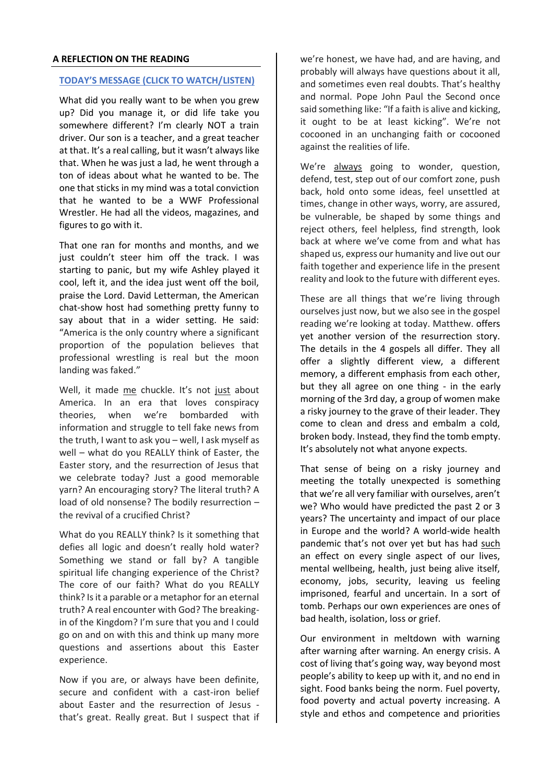#### **A REFLECTION ON THE READING**

#### **[TODAY'S MESSAGE \(CLICK TO WATCH/](https://1drv.ms/v/s!ArhPmcrQo1wyhTDWpLWUOviATS2U?e=cZSOUx)LISTEN)**

What did you really want to be when you grew up? Did you manage it, or did life take you somewhere different? I'm clearly NOT a train driver. Our son is a teacher, and a great teacher at that. It's a real calling, but it wasn't always like that. When he was just a lad, he went through a ton of ideas about what he wanted to be. The one that sticks in my mind was a total conviction that he wanted to be a WWF Professional Wrestler. He had all the videos, magazines, and figures to go with it.

That one ran for months and months, and we just couldn't steer him off the track. I was starting to panic, but my wife Ashley played it cool, left it, and the idea just went off the boil, praise the Lord. David Letterman, the American chat-show host had something pretty funny to say about that in a wider setting. He said: "America is the only country where a significant proportion of the population believes that professional wrestling is real but the moon landing was faked."

Well, it made me chuckle. It's not just about America. In an era that loves conspiracy theories, when we're bombarded with information and struggle to tell fake news from the truth, I want to ask you – well, I ask myself as well – what do you REALLY think of Easter, the Easter story, and the resurrection of Jesus that we celebrate today? Just a good memorable yarn? An encouraging story? The literal truth? A load of old nonsense? The bodily resurrection – the revival of a crucified Christ?

What do you REALLY think? Is it something that defies all logic and doesn't really hold water? Something we stand or fall by? A tangible spiritual life changing experience of the Christ? The core of our faith? What do you REALLY think? Is it a parable or a metaphor for an eternal truth? A real encounter with God? The breakingin of the Kingdom? I'm sure that you and I could go on and on with this and think up many more questions and assertions about this Easter experience.

Now if you are, or always have been definite, secure and confident with a cast-iron belief about Easter and the resurrection of Jesus that's great. Really great. But I suspect that if we're honest, we have had, and are having, and probably will always have questions about it all, and sometimes even real doubts. That's healthy and normal. Pope John Paul the Second once said something like: "If a faith is alive and kicking, it ought to be at least kicking". We're not cocooned in an unchanging faith or cocooned against the realities of life.

We're always going to wonder, question, defend, test, step out of our comfort zone, push back, hold onto some ideas, feel unsettled at times, change in other ways, worry, are assured, be vulnerable, be shaped by some things and reject others, feel helpless, find strength, look back at where we've come from and what has shaped us, express our humanity and live out our faith together and experience life in the present reality and look to the future with different eyes.

These are all things that we're living through ourselves just now, but we also see in the gospel reading we're looking at today. Matthew. offers yet another version of the resurrection story. The details in the 4 gospels all differ. They all offer a slightly different view, a different memory, a different emphasis from each other, but they all agree on one thing - in the early morning of the 3rd day, a group of women make a risky journey to the grave of their leader. They come to clean and dress and embalm a cold, broken body. Instead, they find the tomb empty. It's absolutely not what anyone expects.

That sense of being on a risky journey and meeting the totally unexpected is something that we're all very familiar with ourselves, aren't we? Who would have predicted the past 2 or 3 years? The uncertainty and impact of our place in Europe and the world? A world-wide health pandemic that's not over yet but has had such an effect on every single aspect of our lives, mental wellbeing, health, just being alive itself, economy, jobs, security, leaving us feeling imprisoned, fearful and uncertain. In a sort of tomb. Perhaps our own experiences are ones of bad health, isolation, loss or grief.

Our environment in meltdown with warning after warning after warning. An energy crisis. A cost of living that's going way, way beyond most people's ability to keep up with it, and no end in sight. Food banks being the norm. Fuel poverty, food poverty and actual poverty increasing. A style and ethos and competence and priorities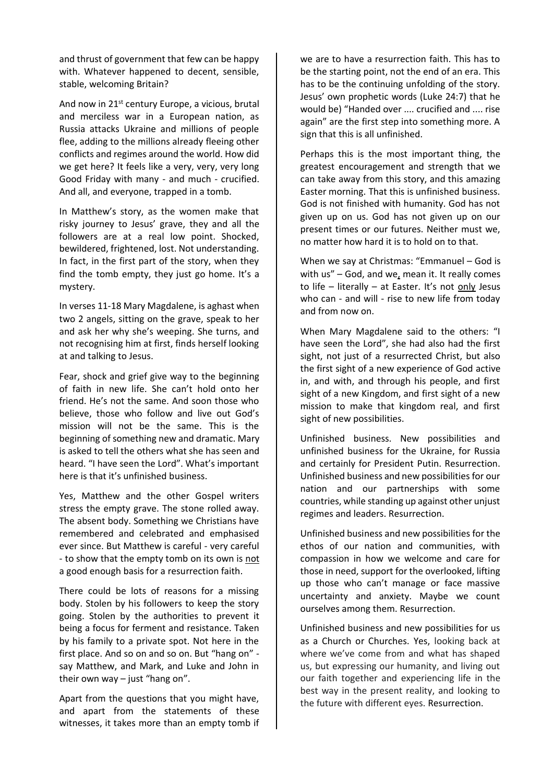and thrust of government that few can be happy with. Whatever happened to decent, sensible, stable, welcoming Britain?

And now in 21<sup>st</sup> century Europe, a vicious, brutal and merciless war in a European nation, as Russia attacks Ukraine and millions of people flee, adding to the millions already fleeing other conflicts and regimes around the world. How did we get here? It feels like a very, very, very long Good Friday with many - and much - crucified. And all, and everyone, trapped in a tomb.

In Matthew's story, as the women make that risky journey to Jesus' grave, they and all the followers are at a real low point. Shocked, bewildered, frightened, lost. Not understanding. In fact, in the first part of the story, when they find the tomb empty, they just go home. It's a mystery.

In verses 11-18 Mary Magdalene, is aghast when two 2 angels, sitting on the grave, speak to her and ask her why she's weeping. She turns, and not recognising him at first, finds herself looking at and talking to Jesus.

Fear, shock and grief give way to the beginning of faith in new life. She can't hold onto her friend. He's not the same. And soon those who believe, those who follow and live out God's mission will not be the same. This is the beginning of something new and dramatic. Mary is asked to tell the others what she has seen and heard. "I have seen the Lord". What's important here is that it's unfinished business.

Yes, Matthew and the other Gospel writers stress the empty grave. The stone rolled away. The absent body. Something we Christians have remembered and celebrated and emphasised ever since. But Matthew is careful - very careful - to show that the empty tomb on its own is not a good enough basis for a resurrection faith.

There could be lots of reasons for a missing body. Stolen by his followers to keep the story going. Stolen by the authorities to prevent it being a focus for ferment and resistance. Taken by his family to a private spot. Not here in the first place. And so on and so on. But "hang on" say Matthew, and Mark, and Luke and John in their own way  $-$  just "hang on".

Apart from the questions that you might have, and apart from the statements of these witnesses, it takes more than an empty tomb if we are to have a resurrection faith. This has to be the starting point, not the end of an era. This has to be the continuing unfolding of the story. Jesus' own prophetic words (Luke 24:7) that he would be) "Handed over .... crucified and .... rise again" are the first step into something more. A sign that this is all unfinished.

Perhaps this is the most important thing, the greatest encouragement and strength that we can take away from this story, and this amazing Easter morning. That this is unfinished business. God is not finished with humanity. God has not given up on us. God has not given up on our present times or our futures. Neither must we, no matter how hard it is to hold on to that.

When we say at Christmas: "Emmanuel – God is with  $us'' - God$ , and we, mean it. It really comes to life – literally – at Easter. It's not only Jesus who can - and will - rise to new life from today and from now on.

When Mary Magdalene said to the others: "I have seen the Lord", she had also had the first sight, not just of a resurrected Christ, but also the first sight of a new experience of God active in, and with, and through his people, and first sight of a new Kingdom, and first sight of a new mission to make that kingdom real, and first sight of new possibilities.

Unfinished business. New possibilities and unfinished business for the Ukraine, for Russia and certainly for President Putin. Resurrection. Unfinished business and new possibilities for our nation and our partnerships with some countries, while standing up against other unjust regimes and leaders. Resurrection.

Unfinished business and new possibilities for the ethos of our nation and communities, with compassion in how we welcome and care for those in need, support for the overlooked, lifting up those who can't manage or face massive uncertainty and anxiety. Maybe we count ourselves among them. Resurrection.

Unfinished business and new possibilities for us as a Church or Churches. Yes, looking back at where we've come from and what has shaped us, but expressing our humanity, and living out our faith together and experiencing life in the best way in the present reality, and looking to the future with different eyes. Resurrection.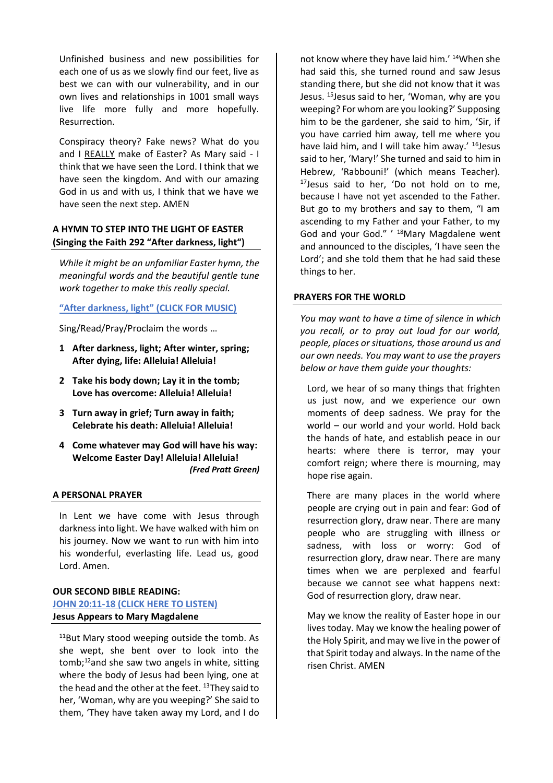Unfinished business and new possibilities for each one of us as we slowly find our feet, live as best we can with our vulnerability, and in our own lives and relationships in 1001 small ways live life more fully and more hopefully. Resurrection.

Conspiracy theory? Fake news? What do you and I REALLY make of Easter? As Mary said - I think that we have seen the Lord. I think that we have seen the kingdom. And with our amazing God in us and with us, I think that we have we have seen the next step. AMEN

#### **A HYMN TO STEP INTO THE LIGHT OF EASTER (Singing the Faith 292 "After darkness, light")**

*While it might be an unfamiliar Easter hymn, the meaningful words and the beautiful gentle tune work together to make this really special.*

#### **["After darkness, light" \(CLICK FOR MUSIC\)](https://1drv.ms/u/s!ArhPmcrQo1wyhSjZhsRPp9o4fYIV?e=mHlVSY)**

Sing/Read/Pray/Proclaim the words …

- **1 After darkness, light; After winter, spring; After dying, life: Alleluia! Alleluia!**
- **2 Take his body down; Lay it in the tomb; Love has overcome: Alleluia! Alleluia!**
- **3 Turn away in grief; Turn away in faith; Celebrate his death: Alleluia! Alleluia!**
- **4 Come whatever may God will have his way: Welcome Easter Day! Alleluia! Alleluia!** *(Fred Pratt Green)*

#### **A PERSONAL PRAYER**

In Lent we have come with Jesus through darkness into light. We have walked with him on his journey. Now we want to run with him into his wonderful, everlasting life. Lead us, good Lord. Amen.

#### **OUR SECOND BIBLE READING: [JOHN 20:11-18 \(CLICK HERE TO LISTEN\)](https://1drv.ms/u/s!ArhPmcrQo1wyhSxdWIqlAfIOmfRl?e=eEykWW) Jesus Appears to Mary Magdalene**

<sup>11</sup>But Mary stood weeping outside the tomb. As she wept, she bent over to look into the tomb;<sup>12</sup>and she saw two angels in white, sitting where the body of Jesus had been lying, one at the head and the other at the feet.  $13$ They said to her, 'Woman, why are you weeping?' She said to them, 'They have taken away my Lord, and I do not know where they have laid him.' <sup>14</sup>When she had said this, she turned round and saw Jesus standing there, but she did not know that it was Jesus. <sup>15</sup>Jesus said to her, 'Woman, why are you weeping? For whom are you looking?' Supposing him to be the gardener, she said to him, 'Sir, if you have carried him away, tell me where you have laid him, and I will take him away.' <sup>16</sup>Jesus said to her, 'Mary!' She turned and said to him in Hebrew, 'Rabbouni!' (which means Teacher).  $17$ Jesus said to her, 'Do not hold on to me, because I have not yet ascended to the Father. But go to my brothers and say to them, "I am ascending to my Father and your Father, to my God and your God." ' <sup>18</sup>Mary Magdalene went and announced to the disciples, 'I have seen the Lord'; and she told them that he had said these things to her.

#### **PRAYERS FOR THE WORLD**

*You may want to have a time of silence in which you recall, or to pray out loud for our world, people, places or situations, those around us and our own needs. You may want to use the prayers below or have them guide your thoughts:*

Lord, we hear of so many things that frighten us just now, and we experience our own moments of deep sadness. We pray for the world – our world and your world. Hold back the hands of hate, and establish peace in our hearts: where there is terror, may your comfort reign; where there is mourning, may hope rise again.

There are many places in the world where people are crying out in pain and fear: God of resurrection glory, draw near. There are many people who are struggling with illness or sadness, with loss or worry: God of resurrection glory, draw near. There are many times when we are perplexed and fearful because we cannot see what happens next: God of resurrection glory, draw near.

May we know the reality of Easter hope in our lives today. May we know the healing power of the Holy Spirit, and may we live in the power of that Spirit today and always. In the name of the risen Christ. AMEN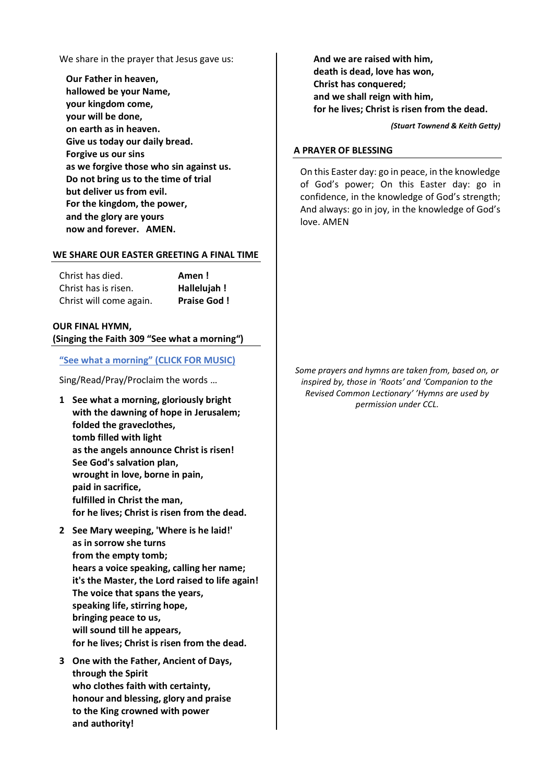We share in the prayer that Jesus gave us:

**Our Father in heaven, hallowed be your Name, your kingdom come, your will be done, on earth as in heaven. Give us today our daily bread. Forgive us our sins as we forgive those who sin against us. Do not bring us to the time of trial but deliver us from evil. For the kingdom, the power, and the glory are yours now and forever. AMEN.**

#### **WE SHARE OUR EASTER GREETING A FINAL TIME**

| Christ has died.        | Amen!              |
|-------------------------|--------------------|
| Christ has is risen.    | Hallelujah !       |
| Christ will come again. | <b>Praise God!</b> |

#### **OUR FINAL HYMN,**

**(Singing the Faith 309 "See what a morning")**

#### **["See what a morning" \(CLICK FOR MUSIC\)](https://1drv.ms/v/s!ArhPmcrQo1wyhS7OLa6Gh8H5yXWb?e=4f2r9j)**

Sing/Read/Pray/Proclaim the words …

- **1 See what a morning, gloriously bright with the dawning of hope in Jerusalem; folded the graveclothes, tomb filled with light as the angels announce Christ is risen! See God's salvation plan, wrought in love, borne in pain, paid in sacrifice, fulfilled in Christ the man, for he lives; Christ is risen from the dead.**
- **2 See Mary weeping, 'Where is he laid!' as in sorrow she turns from the empty tomb; hears a voice speaking, calling her name; it's the Master, the Lord raised to life again! The voice that spans the years, speaking life, stirring hope, bringing peace to us, will sound till he appears, for he lives; Christ is risen from the dead.**
- **3 One with the Father, Ancient of Days, through the Spirit who clothes faith with certainty, honour and blessing, glory and praise to the King crowned with power and authority!**

**And we are raised with him, death is dead, love has won, Christ has conquered; and we shall reign with him, for he lives; Christ is risen from the dead.**

*(Stuart Townend & Keith Getty)*

#### **A PRAYER OF BLESSING**

On this Easter day: go in peace, in the knowledge of God's power; On this Easter day: go in confidence, in the knowledge of God's strength; And always: go in joy, in the knowledge of God's love. AMEN

*Some prayers and hymns are taken from, based on, or inspired by, those in 'Roots' and 'Companion to the Revised Common Lectionary' 'Hymns are used by permission under CCL.*